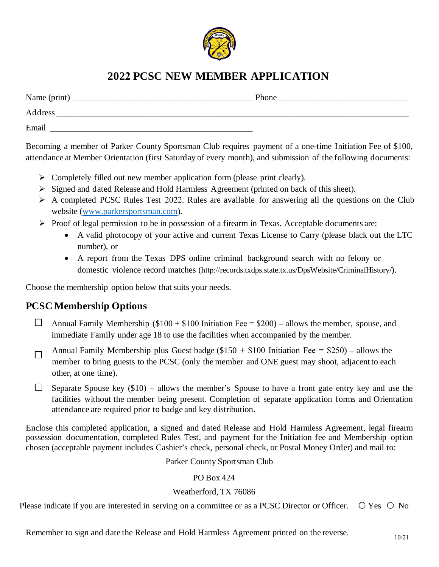

# **2022 PCSC NEW MEMBER APPLICATION**

| Name (print) | Phone |
|--------------|-------|
| Address      |       |
| Email        |       |

Becoming a member of Parker County Sportsman Club requires payment of a one-time Initiation Fee of \$100, attendance at Member Orientation (first Saturday of every month), and submission of the following documents:

- $\triangleright$  Completely filled out new member application form (please print clearly).
- Signed and dated Release and Hold Harmless Agreement (printed on back of this sheet).
- $\triangleright$  A completed PCSC Rules Test 2022. Rules are available for answering all the questions on the Club website [\(www.parkersportsman.com\)](http://www.parkersportsman.com/).
- $\triangleright$  Proof of legal permission to be in possession of a firearm in Texas. Acceptable documents are:
	- A valid photocopy of your active and current Texas License to Carry (please black out the LTC number), or
	- A report from the Texas DPS online criminal background search with no felony or domestic violence record matches (http://records.txdps.state.tx.us/DpsWebsite/CriminalHistory/).

Choose the membership option below that suits your needs.

## **PCSC Membership Options**

- $\Box$  Annual Family Membership (\$100 + \$100 Initiation Fee = \$200) allows the member, spouse, and immediate Family under age 18 to use the facilities when accompanied by the member.
- □ Annual Family Membership plus Guest badge ( $$150 + $100$  Initiation Fee =  $$250$ ) – allows the member to bring guests to the PCSC (only the member and ONE guest may shoot, adjacent to each other, at one time).
- $\Box$  Separate Spouse key (\$10) allows the member's Spouse to have a front gate entry key and use the facilities without the member being present. Completion of separate application forms and Orientation attendance are required prior to badge and key distribution.

Enclose this completed application, a signed and dated Release and Hold Harmless Agreement, legal firearm possession documentation, completed Rules Test, and payment for the Initiation fee and Membership option chosen (acceptable payment includes Cashier's check, personal check, or Postal Money Order) and mail to:

Parker County Sportsman Club

## PO Box 424

## Weatherford, TX 76086

Please indicate if you are interested in serving on a committee or as a PCSC Director or Officer.  $\circ$  Yes  $\circ$  No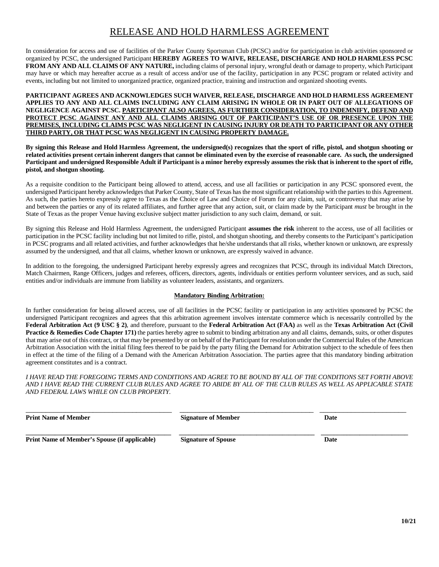## RELEASE AND HOLD HARMLESS AGREEMENT

In consideration for access and use of facilities of the Parker County Sportsman Club (PCSC) and/or for participation in club activities sponsored or organized by PCSC, the undersigned Participant **HEREBY AGREES TO WAIVE, RELEASE, DISCHARGE AND HOLD HARMLESS PCSC FROM ANY AND ALL CLAIMS OF ANY NATURE,** including claims of personal injury, wrongful death or damage to property, which Participant may have or which may hereafter accrue as a result of access and/or use of the facility, participation in any PCSC program or related activity and events, including but not limited to unorganized practice, organized practice, training and instruction and organized shooting events.

#### **PARTICIPANT AGREES AND ACKNOWLEDGES SUCH WAIVER, RELEASE, DISCHARGE AND HOLD HARMLESS AGREEMENT APPLIES TO ANY AND ALL CLAIMS INCLUDING ANY CLAIM ARISING IN WHOLE OR IN PART OUT OF ALLEGATIONS OF NEGLIGENCE AGAINST PCSC. PARTICIPANT ALSO AGREES, AS FURTHER CONSIDERATION, TO INDEMNIFY, DEFEND AND PROTECT PCSC AGAINST ANY AND ALL CLAIMS ARISING OUT OF PARTICIPANT'S USE OF OR PRESENCE UPON THE PREMISES, INCLUDING CLAIMS PCSC WAS NEGLIGENT IN CAUSING INJURY OR DEATH TO PARTICIPANT OR ANY OTHER THIRD PARTY, OR THAT PCSC WAS NEGLIGENT IN CAUSING PROPERTY DAMAGE.**

**By signing this Release and Hold Harmless Agreement, the undersigned(s) recognizes that the sport of rifle, pistol, and shotgun shooting or related activities present certain inherent dangers that cannot be eliminated even by the exercise of reasonable care. As such, the undersigned Participant and undersigned Responsible Adult if Participant is a minor hereby expressly assumes the risk that is inherent to the sport of rifle, pistol, and shotgun shooting.**

As a requisite condition to the Participant being allowed to attend, access, and use all facilities or participation in any PCSC sponsored event, the undersigned Participant hereby acknowledges that Parker County, State of Texas has the most significant relationship with the parties to this Agreement. As such, the parties hereto expressly agree to Texas as the Choice of Law and Choice of Forum for any claim, suit, or controversy that may arise by and between the parties or any of its related affiliates, and further agree that any action, suit, or claim made by the Participant *must* be brought in the State of Texas as the proper Venue having exclusive subject matter jurisdiction to any such claim, demand, or suit.

By signing this Release and Hold Harmless Agreement, the undersigned Participant **assumes the risk** inherent to the access, use of all facilities or participation in the PCSC facility including but not limited to rifle, pistol, and shotgun shooting, and thereby consents to the Participant's participation in PCSC programs and all related activities, and further acknowledges that he/she understands that all risks, whether known or unknown, are expressly assumed by the undersigned, and that all claims, whether known or unknown, are expressly waived in advance.

In addition to the foregoing, the undersigned Participant hereby expressly agrees and recognizes that PCSC, through its individual Match Directors, Match Chairmen, Range Officers, judges and referees, officers, directors, agents, individuals or entities perform volunteer services, and as such, said entities and/or individuals are immune from liability as volunteer leaders, assistants, and organizers.

#### **Mandatory Binding Arbitration:**

In further consideration for being allowed access, use of all facilities in the PCSC facility or participation in any activities sponsored by PCSC the undersigned Participant recognizes and agrees that this arbitration agreement involves interstate commerce which is necessarily controlled by the **Federal Arbitration Act (9 USC § 2)**, and therefore, pursuant to the **Federal Arbitration Act (FAA)** as well as the **Texas Arbitration Act (Civil Practice & Remedies Code Chapter 171)** the parties hereby agree to submit to binding arbitration any and all claims, demands, suits, or other disputes that may arise out of this contract, or that may be presented by or on behalf of the Participant for resolution under the Commercial Rules of the American Arbitration Association with the initial filing fees thereof to be paid by the party filing the Demand for Arbitration subject to the schedule of fees then in effect at the time of the filing of a Demand with the American Arbitration Association. The parties agree that this mandatory binding arbitration agreement constitutes and is a contract.

*I HAVE READ THE FOREGOING TERMS AND CONDITIONS AND AGREE TO BE BOUND BY ALL OF THE CONDITIONS SET FORTH ABOVE AND I HAVE READ THE CURRENT CLUB RULES AND AGREE TO ABIDE BY ALL OF THE CLUB RULES AS WELL AS APPLICABLE STATE AND FEDERAL LAWS WHILE ON CLUB PROPERTY.*

| <b>Print Name of Member</b>                          | <b>Signature of Member</b> | Date |
|------------------------------------------------------|----------------------------|------|
| <b>Print Name of Member's Spouse (if applicable)</b> | <b>Signature of Spouse</b> | Date |